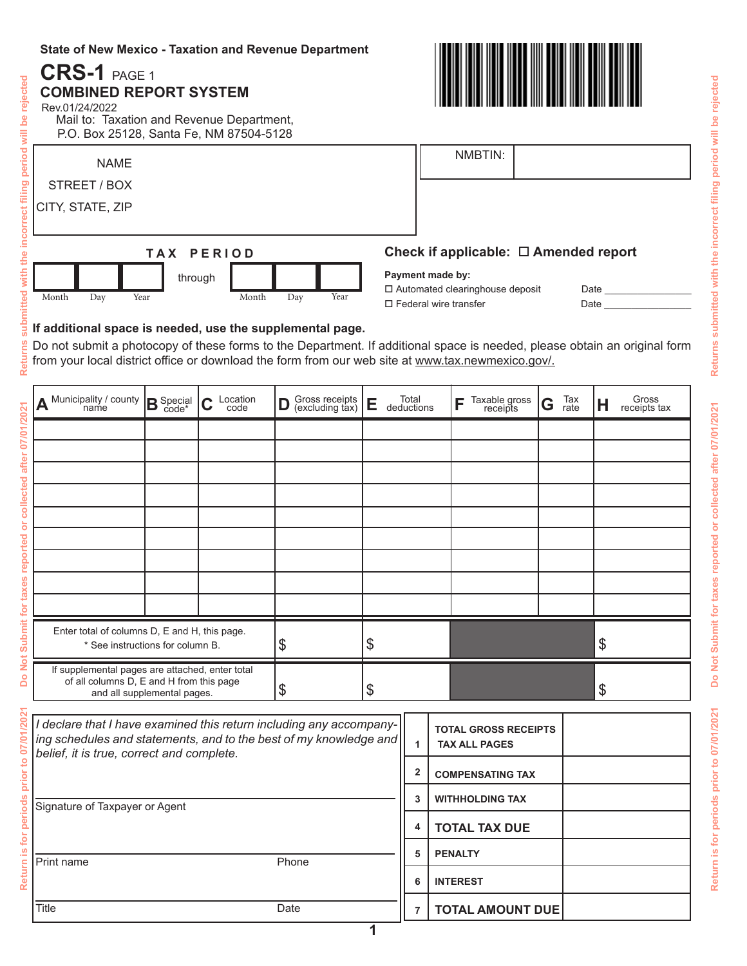#### **State of New Mexico - Taxation and Revenue Department**

# **CRS-1** PAGE 1 **COMBINED REPORT SYSTEM**  period will be rejected **Return is for periods prior to 07/01/2021 Do Not Submit for taxes reported or collected after 07/01/2021 Returns submitted with the incorrect filing period will be rejected** Rev.01/24/2022 Mail to: Taxation and Revenue Department, P.O. Box 25128, Santa Fe, NM 87504-5128 NMBTIN: NAME filing STREET / BOX CITY, STATE, ZIP ncorrect **Check if applicable: Amended report T A X P E R I O D** the **Payment made by:** through Automated clearinghouse deposit Date \_\_\_\_\_\_\_\_\_\_\_\_\_\_\_\_ Month Day Year Month Day Year  $\square$  Federal wire transfer  $\square$ **If additional space is needed, use the supplemental page. Returns** Do not submit a photocopy of these forms to the Department. If additional space is needed, please obtain an original form from your local district office or download the form from our web site at www.tax.newmexico.gov/.  $\mathsf{A}$  <sup>Municipality / county  $|\mathsf{B}$  Special  $|\mathsf{C}$  Location  $|\mathsf{D}|$  Gross receipts  $|\mathsf{E}|$  deductions  $|\mathsf{F}|$  Taxable gross  $|\mathsf{G}|$  Tax  $|\mathsf{H}|$ </sup>  $\textbf{B}$  Special  $\textbf{C}$  Location  $\textbf{D}$  Gross receipts  $\textbf{E}$  Total  $\textbf{F}$  Taxable gross  $\textbf{G}$ Location Gross receipts  $|\mathsf{E}|$  Total  $|\mathsf{F}|$  Taxable gross  $|\mathsf{G}|$  Tax  $|\mathsf{H}|$  Gross receipts tax Tax Gross  $\begin{array}{c} \text{Total} \\ \text{deductions} \end{array}$   $\begin{array}{c} \begin{array}{c} \text{F} \\ \text{F} \end{array} \end{array}$  receipts Do Not Submit for taxes reported or collected after 07/01/2021 (excluding tax) rate code\*

## with **itted**

| A Municipality / county                                                                                                    | $B_{code^*}^{\text{Special}}$ | Location<br>code<br>◠<br>v | Gross receipts<br>(excluding tax)<br>D | Total<br>deductions<br>Е | Taxable gross<br>receipts<br>Е | Tax<br>rate<br>G | Gross<br>receipts tax<br>H |
|----------------------------------------------------------------------------------------------------------------------------|-------------------------------|----------------------------|----------------------------------------|--------------------------|--------------------------------|------------------|----------------------------|
|                                                                                                                            |                               |                            |                                        |                          |                                |                  |                            |
|                                                                                                                            |                               |                            |                                        |                          |                                |                  |                            |
|                                                                                                                            |                               |                            |                                        |                          |                                |                  |                            |
|                                                                                                                            |                               |                            |                                        |                          |                                |                  |                            |
|                                                                                                                            |                               |                            |                                        |                          |                                |                  |                            |
|                                                                                                                            |                               |                            |                                        |                          |                                |                  |                            |
|                                                                                                                            |                               |                            |                                        |                          |                                |                  |                            |
|                                                                                                                            |                               |                            |                                        |                          |                                |                  |                            |
|                                                                                                                            |                               |                            |                                        |                          |                                |                  |                            |
| Enter total of columns D, E and H, this page.<br>* See instructions for column B.                                          |                               |                            | \$                                     | \$                       |                                |                  | $\mathcal{S}$              |
| If supplemental pages are attached, enter total<br>of all columns D, E and H from this page<br>and all supplemental pages. |                               |                            | \$                                     | \$                       |                                |                  | $\mathcal{S}$              |

| /202<br>07/01           | I declare that I have examined this return including any accompany-<br>ing schedules and statements, and to the best of my knowledge and   <br>belief, it is true, correct and complete. |  |   | <b>TOTAL GROSS RECEIPTS</b><br><b>TAX ALL PAGES</b> |  |
|-------------------------|------------------------------------------------------------------------------------------------------------------------------------------------------------------------------------------|--|---|-----------------------------------------------------|--|
| $\overline{5}$<br>prior |                                                                                                                                                                                          |  | 2 | <b>COMPENSATING TAX</b>                             |  |
| periods<br>ē<br>≅       | Signature of Taxpayer or Agent                                                                                                                                                           |  | 3 | <b>WITHHOLDING TAX</b>                              |  |
|                         |                                                                                                                                                                                          |  |   | <b>TOTAL TAX DUE</b>                                |  |
|                         | Phone<br><b>Print name</b>                                                                                                                                                               |  | 5 | <b>PENALTY</b>                                      |  |
| <b>Retur</b>            |                                                                                                                                                                                          |  | 6 | <b>INTEREST</b>                                     |  |
|                         | <b>Title</b><br>Date                                                                                                                                                                     |  |   | <b>TOTAL AMOUNT DUE</b>                             |  |